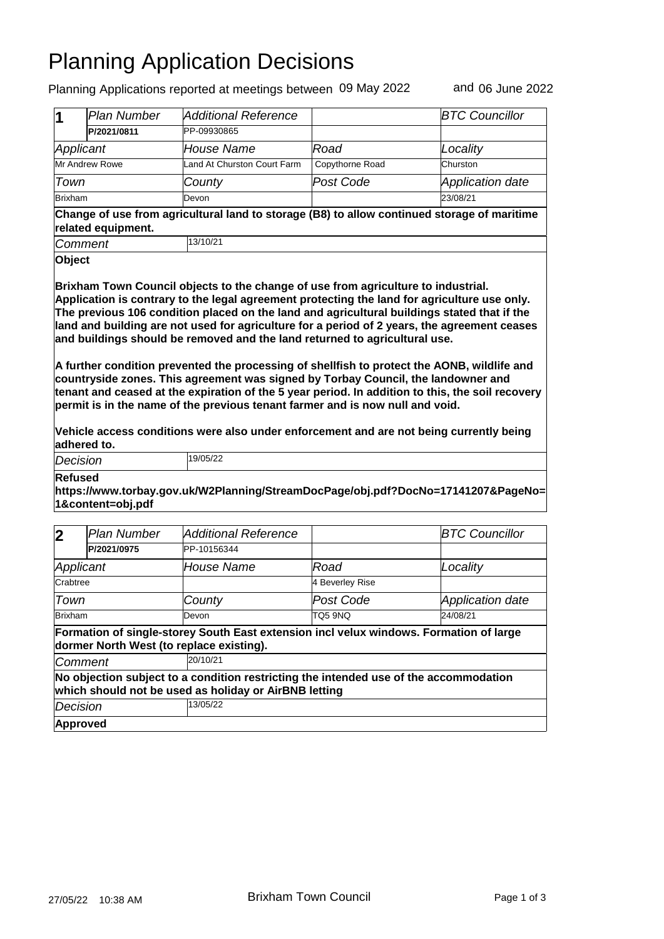## Planning Application Decisions

Planning Applications reported at meetings between 09 May 2022 and 06 June 2022

| 1                                                                                                                                                                                                                                                                                                                                                                                                                                                                                                                                                                                                                                              | <b>Plan Number</b>                                                                                                | <b>Additional Reference</b>                                                                                                        |                         | <b>BTC Councillor</b>        |  |  |  |
|------------------------------------------------------------------------------------------------------------------------------------------------------------------------------------------------------------------------------------------------------------------------------------------------------------------------------------------------------------------------------------------------------------------------------------------------------------------------------------------------------------------------------------------------------------------------------------------------------------------------------------------------|-------------------------------------------------------------------------------------------------------------------|------------------------------------------------------------------------------------------------------------------------------------|-------------------------|------------------------------|--|--|--|
|                                                                                                                                                                                                                                                                                                                                                                                                                                                                                                                                                                                                                                                | P/2021/0811                                                                                                       | PP-09930865                                                                                                                        |                         |                              |  |  |  |
| Applicant                                                                                                                                                                                                                                                                                                                                                                                                                                                                                                                                                                                                                                      |                                                                                                                   | House Name                                                                                                                         | Road                    | Locality                     |  |  |  |
| <b>Mr Andrew Rowe</b>                                                                                                                                                                                                                                                                                                                                                                                                                                                                                                                                                                                                                          |                                                                                                                   | Land At Churston Court Farm                                                                                                        | Copythorne Road         | Churston                     |  |  |  |
| Town                                                                                                                                                                                                                                                                                                                                                                                                                                                                                                                                                                                                                                           |                                                                                                                   | County                                                                                                                             | Post Code               | <b>Application date</b>      |  |  |  |
| <b>Brixham</b>                                                                                                                                                                                                                                                                                                                                                                                                                                                                                                                                                                                                                                 |                                                                                                                   | Devon                                                                                                                              |                         | 23/08/21                     |  |  |  |
|                                                                                                                                                                                                                                                                                                                                                                                                                                                                                                                                                                                                                                                | Change of use from agricultural land to storage (B8) to allow continued storage of maritime<br>related equipment. |                                                                                                                                    |                         |                              |  |  |  |
| Comment                                                                                                                                                                                                                                                                                                                                                                                                                                                                                                                                                                                                                                        |                                                                                                                   | 13/10/21                                                                                                                           |                         |                              |  |  |  |
| Object                                                                                                                                                                                                                                                                                                                                                                                                                                                                                                                                                                                                                                         |                                                                                                                   |                                                                                                                                    |                         |                              |  |  |  |
| land and building are not used for agriculture for a period of 2 years, the agreement ceases<br>and buildings should be removed and the land returned to agricultural use.<br>A further condition prevented the processing of shellfish to protect the AONB, wildlife and<br>countryside zones. This agreement was signed by Torbay Council, the landowner and<br>tenant and ceased at the expiration of the 5 year period. In addition to this, the soil recovery<br>permit is in the name of the previous tenant farmer and is now null and void.<br>Vehicle access conditions were also under enforcement and are not being currently being |                                                                                                                   |                                                                                                                                    |                         |                              |  |  |  |
|                                                                                                                                                                                                                                                                                                                                                                                                                                                                                                                                                                                                                                                |                                                                                                                   |                                                                                                                                    |                         |                              |  |  |  |
| adhered to.<br>Decision                                                                                                                                                                                                                                                                                                                                                                                                                                                                                                                                                                                                                        |                                                                                                                   | 19/05/22                                                                                                                           |                         |                              |  |  |  |
| Refused                                                                                                                                                                                                                                                                                                                                                                                                                                                                                                                                                                                                                                        | 1&content=obj.pdf                                                                                                 | https://www.torbay.gov.uk/W2Planning/StreamDocPage/obj.pdf?DocNo=17141207&PageNo=                                                  |                         |                              |  |  |  |
|                                                                                                                                                                                                                                                                                                                                                                                                                                                                                                                                                                                                                                                |                                                                                                                   |                                                                                                                                    |                         |                              |  |  |  |
| $\mathbf 2$                                                                                                                                                                                                                                                                                                                                                                                                                                                                                                                                                                                                                                    | <b>Plan Number</b><br>P/2021/0975                                                                                 | <b>Additional Reference</b><br>PP-10156344                                                                                         |                         | <b>BTC Councillor</b>        |  |  |  |
|                                                                                                                                                                                                                                                                                                                                                                                                                                                                                                                                                                                                                                                |                                                                                                                   |                                                                                                                                    |                         |                              |  |  |  |
| Applicant<br>Crabtree                                                                                                                                                                                                                                                                                                                                                                                                                                                                                                                                                                                                                          |                                                                                                                   | House Name                                                                                                                         | Road<br>4 Beverley Rise | Locality                     |  |  |  |
|                                                                                                                                                                                                                                                                                                                                                                                                                                                                                                                                                                                                                                                |                                                                                                                   |                                                                                                                                    |                         |                              |  |  |  |
| Town<br><b>Brixham</b>                                                                                                                                                                                                                                                                                                                                                                                                                                                                                                                                                                                                                         |                                                                                                                   | County<br>Devon                                                                                                                    | Post Code               | Application date<br>24/08/21 |  |  |  |
|                                                                                                                                                                                                                                                                                                                                                                                                                                                                                                                                                                                                                                                |                                                                                                                   | Formation of single-storey South East extension incl velux windows. Formation of large<br>dormer North West (to replace existing). | TQ5 9NQ                 |                              |  |  |  |
| Comment                                                                                                                                                                                                                                                                                                                                                                                                                                                                                                                                                                                                                                        |                                                                                                                   | 20/10/21                                                                                                                           |                         |                              |  |  |  |
|                                                                                                                                                                                                                                                                                                                                                                                                                                                                                                                                                                                                                                                |                                                                                                                   | No objection subject to a condition restricting the intended use of the accommodation                                              |                         |                              |  |  |  |
| Decision                                                                                                                                                                                                                                                                                                                                                                                                                                                                                                                                                                                                                                       |                                                                                                                   | which should not be used as holiday or AirBNB letting<br>13/05/22                                                                  |                         |                              |  |  |  |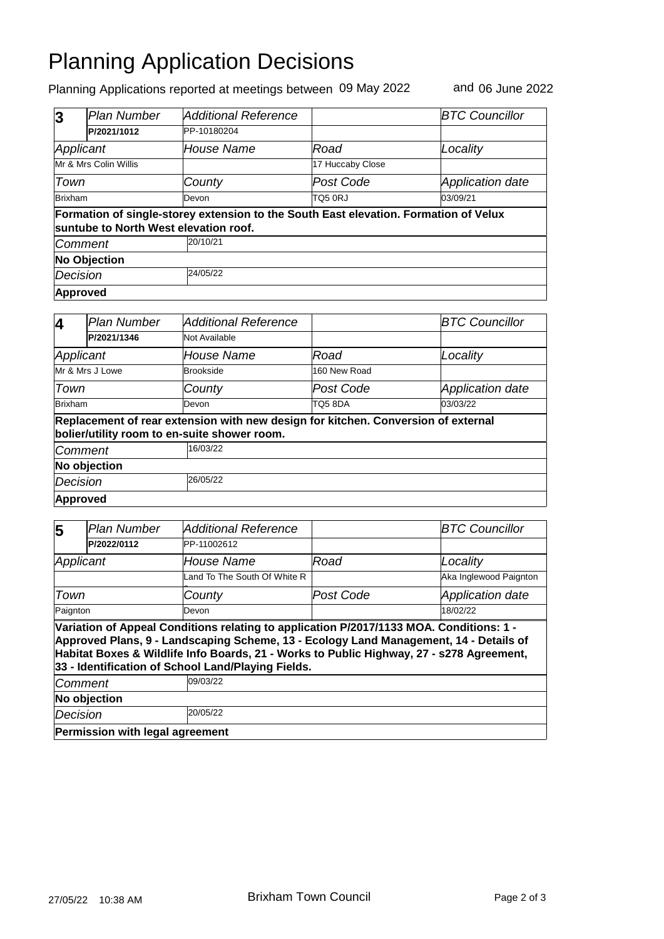## Planning Application Decisions

Planning Applications reported at meetings between 09 May 2022 and 06 June 2022

| 3                                                                                                                             | <b>Plan Number</b> | Additional Reference |                  | <b>BTC Councillor</b>   |  |  |
|-------------------------------------------------------------------------------------------------------------------------------|--------------------|----------------------|------------------|-------------------------|--|--|
|                                                                                                                               | P/2021/1012        | PP-10180204          |                  |                         |  |  |
| Applicant                                                                                                                     |                    | House Name           | Road             | Locality                |  |  |
| Mr & Mrs Colin Willis                                                                                                         |                    |                      | 17 Huccaby Close |                         |  |  |
| Town                                                                                                                          |                    | County               | Post Code        | <b>Application date</b> |  |  |
| <b>Brixham</b>                                                                                                                |                    | Devon                | <b>TQ5 0RJ</b>   | 03/09/21                |  |  |
| Formation of single-storey extension to the South East elevation. Formation of Velux<br>suntube to North West elevation roof. |                    |                      |                  |                         |  |  |
| <i><b>Comment</b></i>                                                                                                         |                    | 20/10/21             |                  |                         |  |  |
| <b>No Objection</b>                                                                                                           |                    |                      |                  |                         |  |  |
| Decision                                                                                                                      |                    | 24/05/22             |                  |                         |  |  |
| Approved                                                                                                                      |                    |                      |                  |                         |  |  |

| 4               | Plan Number                                                                                                                       | <b>Additional Reference</b> |              | <b>BTC Councillor</b>   |  |  |  |
|-----------------|-----------------------------------------------------------------------------------------------------------------------------------|-----------------------------|--------------|-------------------------|--|--|--|
|                 | P/2021/1346                                                                                                                       | Not Available               |              |                         |  |  |  |
| Applicant       |                                                                                                                                   | House Name                  | Road         | Locality                |  |  |  |
| Mr & Mrs J Lowe |                                                                                                                                   | Brookside                   | 160 New Road |                         |  |  |  |
| Town            |                                                                                                                                   | County                      | Post Code    | <b>Application date</b> |  |  |  |
| <b>Brixham</b>  |                                                                                                                                   | Devon                       | TO5 8DA      | 03/03/22                |  |  |  |
|                 | Replacement of rear extension with new design for kitchen. Conversion of external<br>bolier/utility room to en-suite shower room. |                             |              |                         |  |  |  |
|                 | <b>Comment</b>                                                                                                                    | 16/03/22                    |              |                         |  |  |  |
|                 | No objection                                                                                                                      |                             |              |                         |  |  |  |
|                 | Decision                                                                                                                          | 26/05/22                    |              |                         |  |  |  |
|                 | Approved                                                                                                                          |                             |              |                         |  |  |  |

| 5                                                                                                                                                                                                                                                                                                                                  | <b>Plan Number</b>              | <b>Additional Reference</b>  |           | <b>BTC Councillor</b>   |  |  |
|------------------------------------------------------------------------------------------------------------------------------------------------------------------------------------------------------------------------------------------------------------------------------------------------------------------------------------|---------------------------------|------------------------------|-----------|-------------------------|--|--|
|                                                                                                                                                                                                                                                                                                                                    | P/2022/0112                     | PP-11002612                  |           |                         |  |  |
| Applicant                                                                                                                                                                                                                                                                                                                          |                                 | <b>House Name</b>            | Road      | Locality                |  |  |
|                                                                                                                                                                                                                                                                                                                                    |                                 | Land To The South Of White R |           | Aka Inglewood Paignton  |  |  |
| Town                                                                                                                                                                                                                                                                                                                               |                                 | County                       | Post Code | <b>Application date</b> |  |  |
| Paignton                                                                                                                                                                                                                                                                                                                           |                                 | Devon                        |           | 18/02/22                |  |  |
| Variation of Appeal Conditions relating to application P/2017/1133 MOA. Conditions: 1 -<br>Approved Plans, 9 - Landscaping Scheme, 13 - Ecology Land Management, 14 - Details of<br>Habitat Boxes & Wildlife Info Boards, 21 - Works to Public Highway, 27 - s278 Agreement,<br>33 - Identification of School Land/Playing Fields. |                                 |                              |           |                         |  |  |
| Comment                                                                                                                                                                                                                                                                                                                            |                                 | 09/03/22                     |           |                         |  |  |
| No objection                                                                                                                                                                                                                                                                                                                       |                                 |                              |           |                         |  |  |
| Decision                                                                                                                                                                                                                                                                                                                           |                                 | 20/05/22                     |           |                         |  |  |
|                                                                                                                                                                                                                                                                                                                                    | Permission with legal agreement |                              |           |                         |  |  |